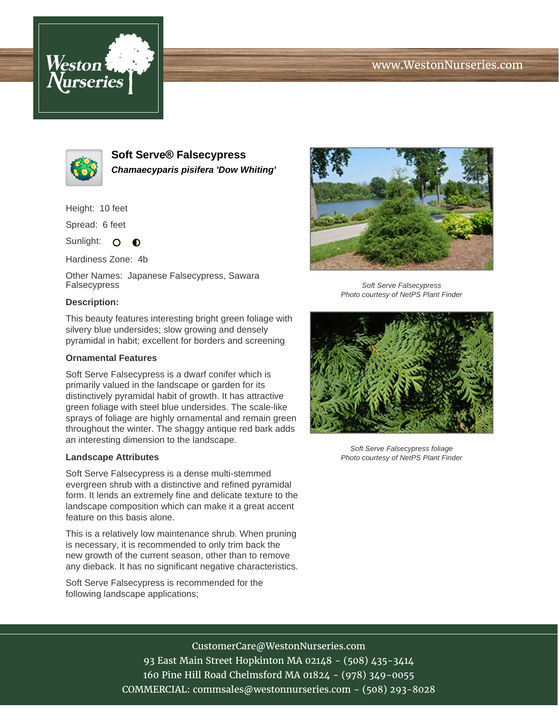# www.WestonNurseries.com





**Soft Serve® Falsecypress Chamaecyparis pisifera 'Dow Whiting'**

Height: 10 feet

Spread: 6 feet

Sunlight: O  $\bullet$ 

Hardiness Zone: 4b

Other Names: Japanese Falsecypress, Sawara Falsecypress

# **Description:**

This beauty features interesting bright green foliage with silvery blue undersides; slow growing and densely pyramidal in habit; excellent for borders and screening

### **Ornamental Features**

Soft Serve Falsecypress is a dwarf conifer which is primarily valued in the landscape or garden for its distinctively pyramidal habit of growth. It has attractive green foliage with steel blue undersides. The scale-like sprays of foliage are highly ornamental and remain green throughout the winter. The shaggy antique red bark adds an interesting dimension to the landscape.

#### **Landscape Attributes**

Soft Serve Falsecypress is a dense multi-stemmed evergreen shrub with a distinctive and refined pyramidal form. It lends an extremely fine and delicate texture to the landscape composition which can make it a great accent feature on this basis alone.

This is a relatively low maintenance shrub. When pruning is necessary, it is recommended to only trim back the new growth of the current season, other than to remove any dieback. It has no significant negative characteristics.

Soft Serve Falsecypress is recommended for the following landscape applications;



Soft Serve Falsecypress Photo courtesy of NetPS Plant Finder



Soft Serve Falsecypress foliage Photo courtesy of NetPS Plant Finder

CustomerCare@WestonNurseries.com

93 East Main Street Hopkinton MA 02148 - (508) 435-3414 160 Pine Hill Road Chelmsford MA 01824 - (978) 349-0055 COMMERCIAL: commsales@westonnurseries.com - (508) 293-8028